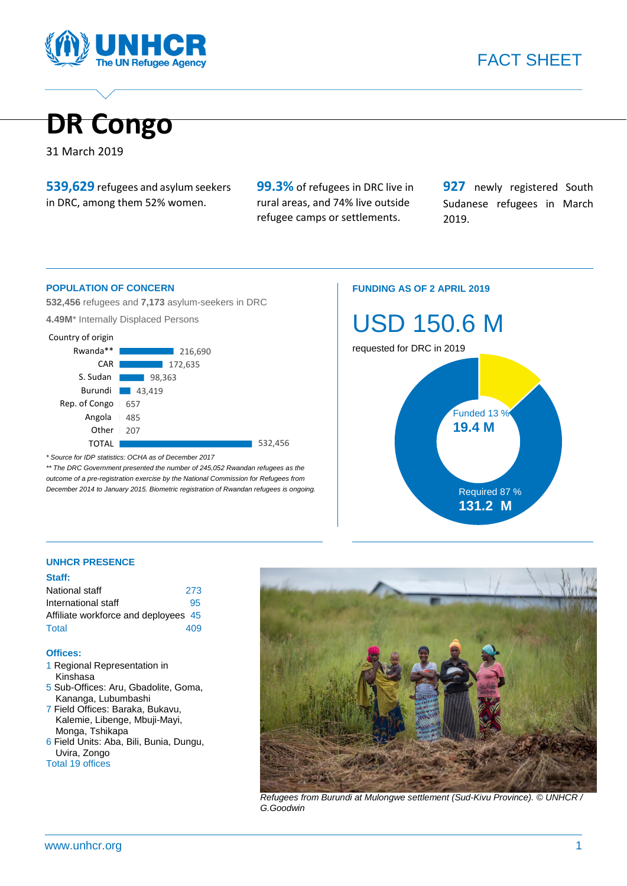



31 March 2019

**539,629** refugees and asylum seekers in DRC, among them 52% women.

**99.3%** of refugees in DRC live in rural areas, and 74% live outside refugee camps or settlements.

**927** newly registered South Sudanese refugees in March 2019.

#### **POPULATION OF CONCERN**

**532,456** refugees and **7,173** asylum-seekers in DRC

**4.49M**\* Internally Displaced Persons



*\* Source for IDP statistics: OCHA as of December 2017* 

*\*\* The DRC Government presented the number of 245,052 Rwandan refugees as the outcome of a pre-registration exercise by the National Commission for Refugees from December 2014 to January 2015. Biometric registration of Rwandan refugees is ongoing.* 

#### **FUNDING AS OF 2 APRIL 2019**



#### **UNHCR PRESENCE**

#### **Staff:**

| National staff                       | 273 |
|--------------------------------------|-----|
| International staff                  | 95  |
| Affiliate workforce and deployees 45 |     |
| Total                                | 409 |

#### **Offices:**

- 1 Regional Representation in Kinshasa
- 5 Sub-Offices: Aru, Gbadolite, Goma, Kananga, Lubumbashi
- 7 Field Offices: Baraka, Bukavu, Kalemie, Libenge, Mbuji-Mayi, Monga, Tshikapa
- 6 Field Units: Aba, Bili, Bunia, Dungu, Uvira, Zongo Total 19 offices



*Refugees from Burundi at Mulongwe settlement (Sud-Kivu Province). © UNHCR / G.Goodwin*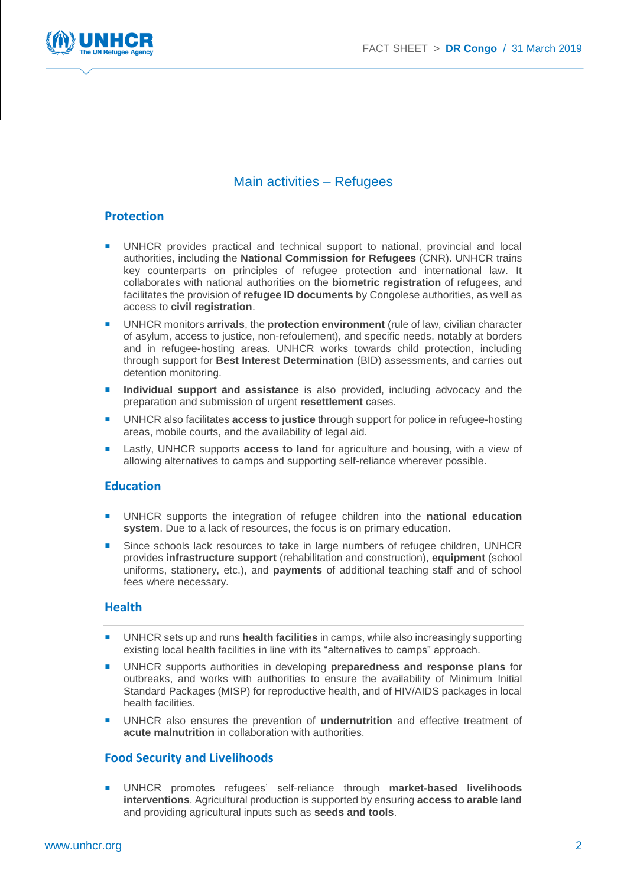

# Main activities – Refugees

#### **Protection**

- UNHCR provides practical and technical support to national, provincial and local authorities, including the **National Commission for Refugees** (CNR). UNHCR trains key counterparts on principles of refugee protection and international law. It collaborates with national authorities on the **biometric registration** of refugees, and facilitates the provision of **refugee ID documents** by Congolese authorities, as well as access to **civil registration**.
- UNHCR monitors **arrivals**, the **protection environment** (rule of law, civilian character of asylum, access to justice, non-refoulement), and specific needs, notably at borders and in refugee-hosting areas. UNHCR works towards child protection, including through support for **Best Interest Determination** (BID) assessments, and carries out detention monitoring.
- **Individual support and assistance** is also provided, including advocacy and the preparation and submission of urgent **resettlement** cases.
- UNHCR also facilitates **access to justice** through support for police in refugee-hosting areas, mobile courts, and the availability of legal aid.
- Lastly, UNHCR supports **access to land** for agriculture and housing, with a view of allowing alternatives to camps and supporting self-reliance wherever possible.

#### **Education**

- UNHCR supports the integration of refugee children into the **national education system**. Due to a lack of resources, the focus is on primary education.
- Since schools lack resources to take in large numbers of refugee children, UNHCR provides **infrastructure support** (rehabilitation and construction), **equipment** (school uniforms, stationery, etc.), and **payments** of additional teaching staff and of school fees where necessary.

#### **Health**

- UNHCR sets up and runs **health facilities** in camps, while also increasingly supporting existing local health facilities in line with its "alternatives to camps" approach.
- UNHCR supports authorities in developing **preparedness and response plans** for outbreaks, and works with authorities to ensure the availability of Minimum Initial Standard Packages (MISP) for reproductive health, and of HIV/AIDS packages in local health facilities.
- UNHCR also ensures the prevention of **undernutrition** and effective treatment of **acute malnutrition** in collaboration with authorities.

#### **Food Security and Livelihoods**

 UNHCR promotes refugees' self-reliance through **market-based livelihoods interventions**. Agricultural production is supported by ensuring **access to arable land** and providing agricultural inputs such as **seeds and tools**.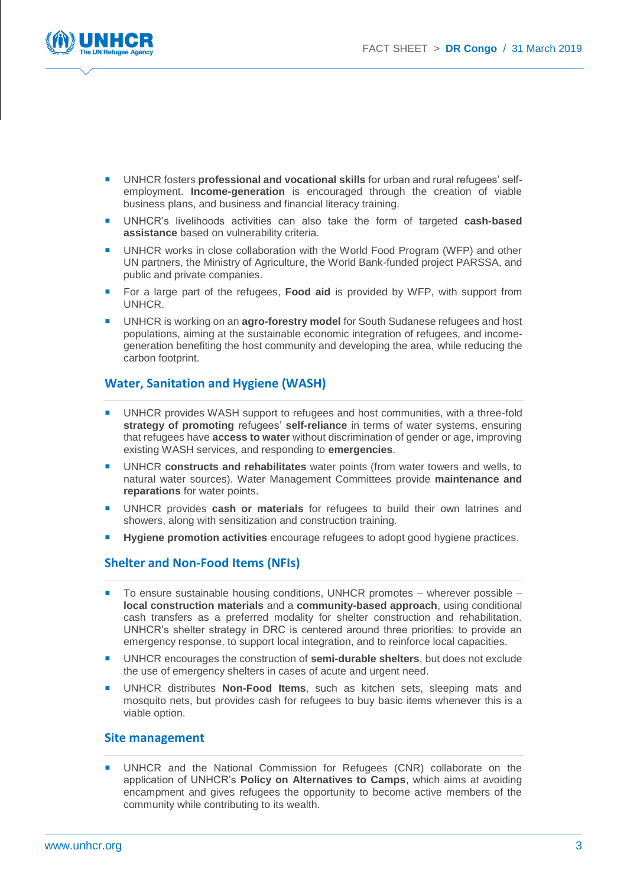

- UNHCR fosters **professional and vocational skills** for urban and rural refugees' selfemployment. **Income-generation** is encouraged through the creation of viable business plans, and business and financial literacy training.
- UNHCR's livelihoods activities can also take the form of targeted **cash-based assistance** based on vulnerability criteria.
- UNHCR works in close collaboration with the World Food Program (WFP) and other UN partners, the Ministry of Agriculture, the World Bank-funded project PARSSA, and public and private companies.
- For a large part of the refugees, **Food aid** is provided by WFP, with support from UNHCR.
- UNHCR is working on an **agro-forestry model** for South Sudanese refugees and host populations, aiming at the sustainable economic integration of refugees, and incomegeneration benefiting the host community and developing the area, while reducing the carbon footprint.

## **Water, Sanitation and Hygiene (WASH)**

- UNHCR provides WASH support to refugees and host communities, with a three-fold **strategy of promoting** refugees' **self-reliance** in terms of water systems, ensuring that refugees have **access to water** without discrimination of gender or age, improving existing WASH services, and responding to **emergencies**.
- UNHCR **constructs and rehabilitates** water points (from water towers and wells, to natural water sources). Water Management Committees provide **maintenance and reparations** for water points.
- UNHCR provides **cash or materials** for refugees to build their own latrines and showers, along with sensitization and construction training.
- **Hygiene promotion activities** encourage refugees to adopt good hygiene practices.

### **Shelter and Non-Food Items (NFIs)**

- To ensure sustainable housing conditions, UNHCR promotes wherever possible **local construction materials** and a **community-based approach**, using conditional cash transfers as a preferred modality for shelter construction and rehabilitation. UNHCR's shelter strategy in DRC is centered around three priorities: to provide an emergency response, to support local integration, and to reinforce local capacities.
- UNHCR encourages the construction of **semi-durable shelters**, but does not exclude the use of emergency shelters in cases of acute and urgent need.
- UNHCR distributes **Non-Food Items**, such as kitchen sets, sleeping mats and mosquito nets, but provides cash for refugees to buy basic items whenever this is a viable option.

#### **Site management**

 UNHCR and the National Commission for Refugees (CNR) collaborate on the application of UNHCR's **Policy on Alternatives to Camps**, which aims at avoiding encampment and gives refugees the opportunity to become active members of the community while contributing to its wealth.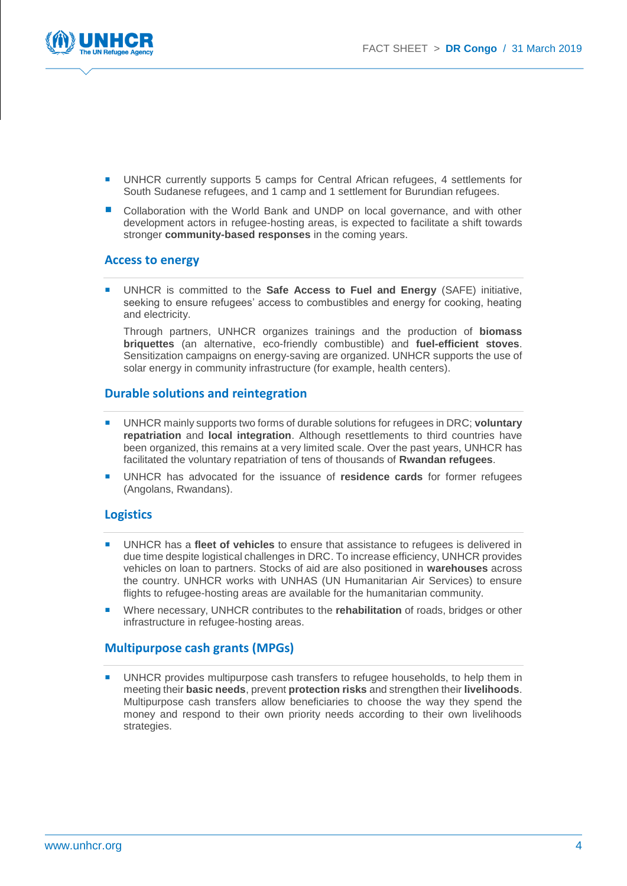

- UNHCR currently supports 5 camps for Central African refugees, 4 settlements for South Sudanese refugees, and 1 camp and 1 settlement for Burundian refugees.
- Collaboration with the World Bank and UNDP on local governance, and with other development actors in refugee-hosting areas, is expected to facilitate a shift towards stronger **community-based responses** in the coming years.

#### **Access to energy**

 UNHCR is committed to the **Safe Access to Fuel and Energy** (SAFE) initiative, seeking to ensure refugees' access to combustibles and energy for cooking, heating and electricity.

Through partners, UNHCR organizes trainings and the production of **biomass briquettes** (an alternative, eco-friendly combustible) and **fuel-efficient stoves**. Sensitization campaigns on energy-saving are organized. UNHCR supports the use of solar energy in community infrastructure (for example, health centers).

#### **Durable solutions and reintegration**

- UNHCR mainly supports two forms of durable solutions for refugees in DRC; **voluntary repatriation** and **local integration**. Although resettlements to third countries have been organized, this remains at a very limited scale. Over the past years, UNHCR has facilitated the voluntary repatriation of tens of thousands of **Rwandan refugees**.
- UNHCR has advocated for the issuance of **residence cards** for former refugees (Angolans, Rwandans).

#### **Logistics**

- UNHCR has a **fleet of vehicles** to ensure that assistance to refugees is delivered in due time despite logistical challenges in DRC. To increase efficiency, UNHCR provides vehicles on loan to partners. Stocks of aid are also positioned in **warehouses** across the country. UNHCR works with UNHAS (UN Humanitarian Air Services) to ensure flights to refugee-hosting areas are available for the humanitarian community.
- Where necessary, UNHCR contributes to the **rehabilitation** of roads, bridges or other infrastructure in refugee-hosting areas.

#### **Multipurpose cash grants (MPGs)**

 UNHCR provides multipurpose cash transfers to refugee households, to help them in meeting their **basic needs**, prevent **protection risks** and strengthen their **livelihoods**. Multipurpose cash transfers allow beneficiaries to choose the way they spend the money and respond to their own priority needs according to their own livelihoods strategies.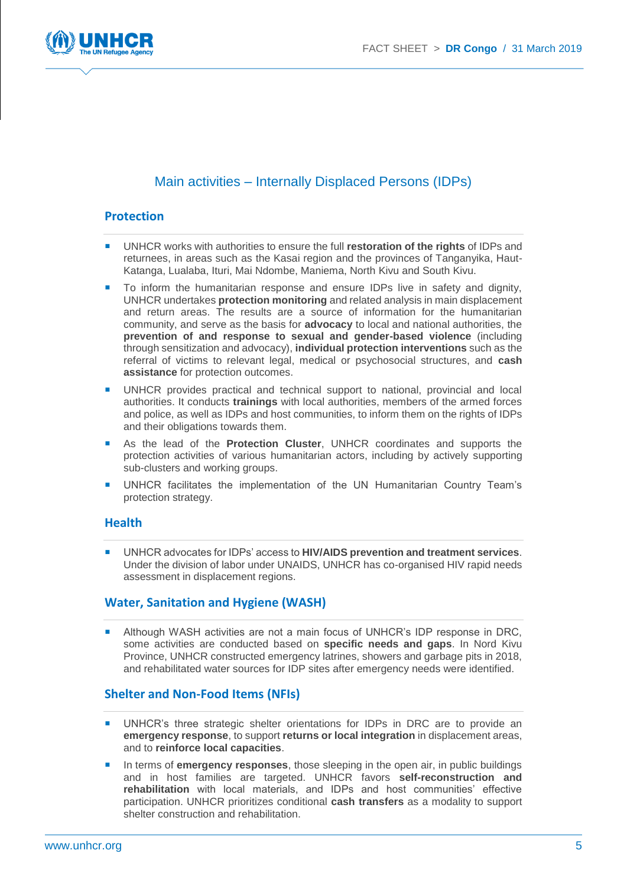

# Main activities – Internally Displaced Persons (IDPs)

#### **Protection**

- UNHCR works with authorities to ensure the full **restoration of the rights** of IDPs and returnees, in areas such as the Kasai region and the provinces of Tanganyika, Haut-Katanga, Lualaba, Ituri, Mai Ndombe, Maniema, North Kivu and South Kivu.
- **To inform the humanitarian response and ensure IDPs live in safety and dignity,** UNHCR undertakes **protection monitoring** and related analysis in main displacement and return areas. The results are a source of information for the humanitarian community, and serve as the basis for **advocacy** to local and national authorities, the **prevention of and response to sexual and gender-based violence** (including through sensitization and advocacy), **individual protection interventions** such as the referral of victims to relevant legal, medical or psychosocial structures, and **cash assistance** for protection outcomes.
- UNHCR provides practical and technical support to national, provincial and local authorities. It conducts **trainings** with local authorities, members of the armed forces and police, as well as IDPs and host communities, to inform them on the rights of IDPs and their obligations towards them.
- As the lead of the **Protection Cluster**, UNHCR coordinates and supports the protection activities of various humanitarian actors, including by actively supporting sub-clusters and working groups.
- UNHCR facilitates the implementation of the UN Humanitarian Country Team's protection strategy.

#### **Health**

 UNHCR advocates for IDPs' access to **HIV/AIDS prevention and treatment services**. Under the division of labor under UNAIDS, UNHCR has co-organised HIV rapid needs assessment in displacement regions.

#### **Water, Sanitation and Hygiene (WASH)**

**Although WASH activities are not a main focus of UNHCR's IDP response in DRC,** some activities are conducted based on **specific needs and gaps**. In Nord Kivu Province, UNHCR constructed emergency latrines, showers and garbage pits in 2018, and rehabilitated water sources for IDP sites after emergency needs were identified.

#### **Shelter and Non-Food Items (NFIs)**

- UNHCR's three strategic shelter orientations for IDPs in DRC are to provide an **emergency response**, to support **returns or local integration** in displacement areas, and to **reinforce local capacities**.
- In terms of **emergency responses**, those sleeping in the open air, in public buildings and in host families are targeted. UNHCR favors **self-reconstruction and rehabilitation** with local materials, and IDPs and host communities' effective participation. UNHCR prioritizes conditional **cash transfers** as a modality to support shelter construction and rehabilitation.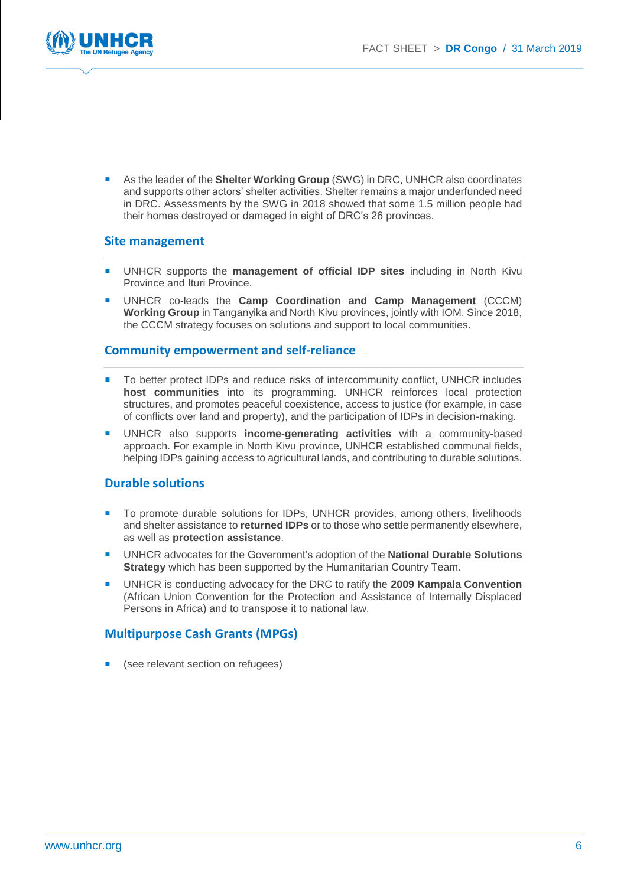

 As the leader of the **Shelter Working Group** (SWG) in DRC, UNHCR also coordinates and supports other actors' shelter activities. Shelter remains a major underfunded need in DRC. Assessments by the SWG in 2018 showed that some 1.5 million people had their homes destroyed or damaged in eight of DRC's 26 provinces.

#### **Site management**

- UNHCR supports the **management of official IDP sites** including in North Kivu Province and Ituri Province.
- UNHCR co-leads the **Camp Coordination and Camp Management** (CCCM) **Working Group** in Tanganyika and North Kivu provinces, jointly with IOM. Since 2018, the CCCM strategy focuses on solutions and support to local communities.

#### **Community empowerment and self-reliance**

- To better protect IDPs and reduce risks of intercommunity conflict, UNHCR includes **host communities** into its programming. UNHCR reinforces local protection structures, and promotes peaceful coexistence, access to justice (for example, in case of conflicts over land and property), and the participation of IDPs in decision-making.
- UNHCR also supports **income-generating activities** with a community-based approach. For example in North Kivu province, UNHCR established communal fields, helping IDPs gaining access to agricultural lands, and contributing to durable solutions.

#### **Durable solutions**

- To promote durable solutions for IDPs, UNHCR provides, among others, livelihoods and shelter assistance to **returned IDPs** or to those who settle permanently elsewhere, as well as **protection assistance**.
- UNHCR advocates for the Government's adoption of the **National Durable Solutions Strategy** which has been supported by the Humanitarian Country Team.
- UNHCR is conducting advocacy for the DRC to ratify the **2009 Kampala Convention** (African Union Convention for the Protection and Assistance of Internally Displaced Persons in Africa) and to transpose it to national law.

#### **Multipurpose Cash Grants (MPGs)**

(see relevant section on refugees)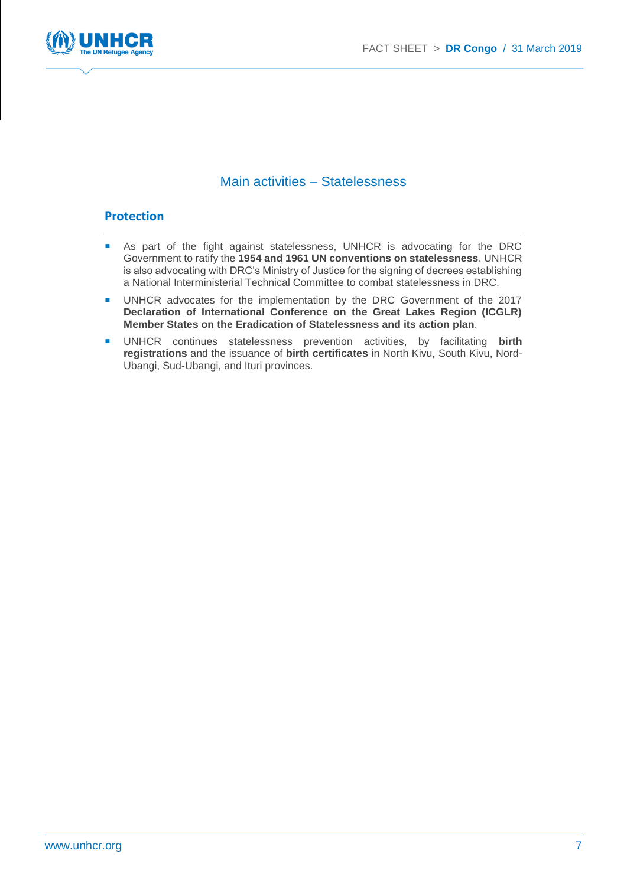

## Main activities – Statelessness

#### **Protection**

- **As part of the fight against statelessness, UNHCR is advocating for the DRC** Government to ratify the **1954 and 1961 UN conventions on statelessness**. UNHCR is also advocating with DRC's Ministry of Justice for the signing of decrees establishing a National Interministerial Technical Committee to combat statelessness in DRC.
- UNHCR advocates for the implementation by the DRC Government of the 2017 **Declaration of International Conference on the Great Lakes Region (ICGLR) Member States on the Eradication of Statelessness and its action plan**.
- UNHCR continues statelessness prevention activities, by facilitating **birth registrations** and the issuance of **birth certificates** in North Kivu, South Kivu, Nord-Ubangi, Sud-Ubangi, and Ituri provinces.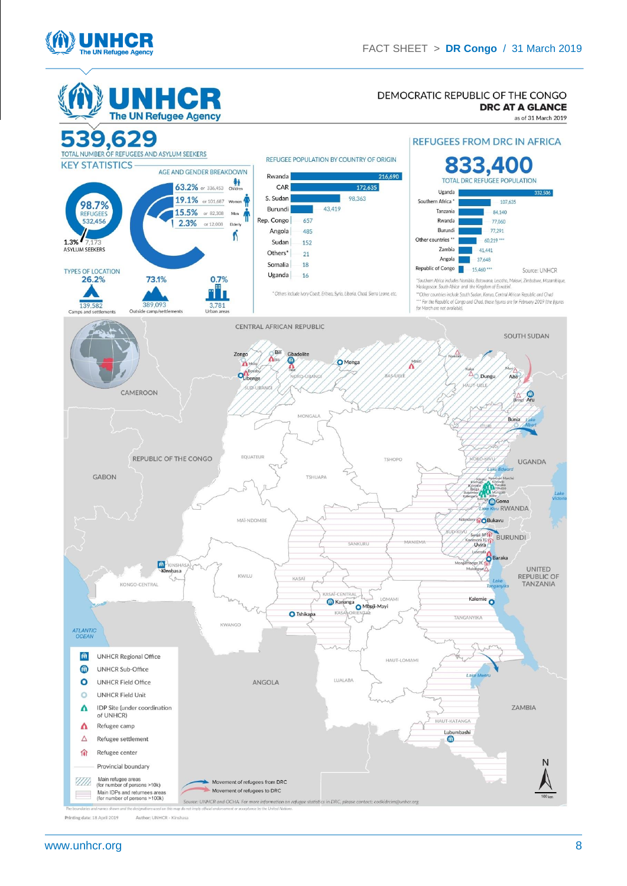

G

H





Printing date: 18 April 2019 Author: UNHCR - Kinshasa